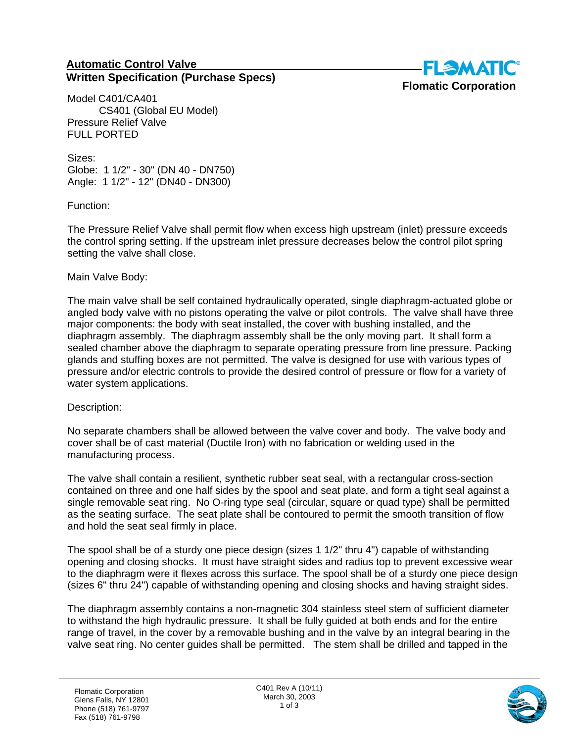## **Automatic Control Valve Written Specification (Purchase Specs)**



Model C401/CA401 CS401 (Global EU Model) Pressure Relief Valve FULL PORTED

Sizes: Globe: 1 1/2" - 30" (DN 40 - DN750) Angle: 1 1/2" - 12" (DN40 - DN300)

Function:

The Pressure Relief Valve shall permit flow when excess high upstream (inlet) pressure exceeds the control spring setting. If the upstream inlet pressure decreases below the control pilot spring setting the valve shall close.

## Main Valve Body:

The main valve shall be self contained hydraulically operated, single diaphragm-actuated globe or angled body valve with no pistons operating the valve or pilot controls. The valve shall have three major components: the body with seat installed, the cover with bushing installed, and the diaphragm assembly. The diaphragm assembly shall be the only moving part. It shall form a sealed chamber above the diaphragm to separate operating pressure from line pressure. Packing glands and stuffing boxes are not permitted. The valve is designed for use with various types of pressure and/or electric controls to provide the desired control of pressure or flow for a variety of water system applications.

## Description:

No separate chambers shall be allowed between the valve cover and body. The valve body and cover shall be of cast material (Ductile Iron) with no fabrication or welding used in the manufacturing process.

The valve shall contain a resilient, synthetic rubber seat seal, with a rectangular cross-section contained on three and one half sides by the spool and seat plate, and form a tight seal against a single removable seat ring. No O-ring type seal (circular, square or quad type) shall be permitted as the seating surface. The seat plate shall be contoured to permit the smooth transition of flow and hold the seat seal firmly in place.

The spool shall be of a sturdy one piece design (sizes 1 1/2" thru 4") capable of withstanding opening and closing shocks. It must have straight sides and radius top to prevent excessive wear to the diaphragm were it flexes across this surface. The spool shall be of a sturdy one piece design (sizes 6" thru 24") capable of withstanding opening and closing shocks and having straight sides.

The diaphragm assembly contains a non-magnetic 304 stainless steel stem of sufficient diameter to withstand the high hydraulic pressure. It shall be fully guided at both ends and for the entire range of travel, in the cover by a removable bushing and in the valve by an integral bearing in the valve seat ring. No center guides shall be permitted. The stem shall be drilled and tapped in the

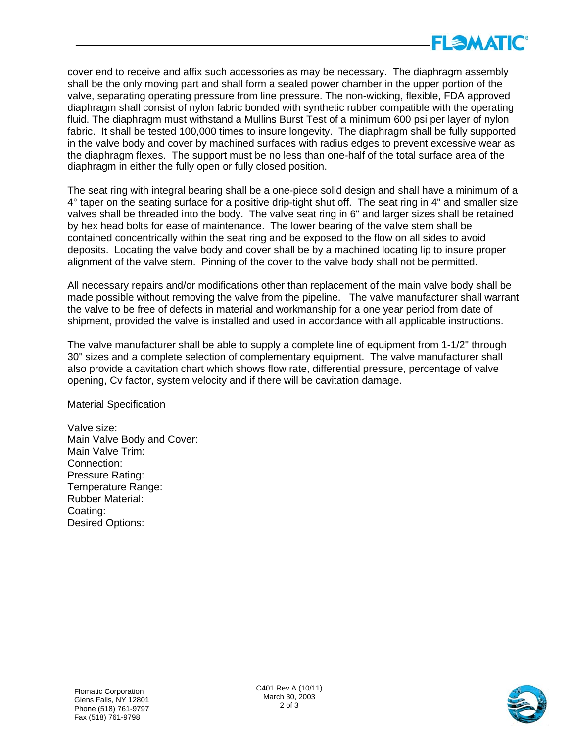

cover end to receive and affix such accessories as may be necessary. The diaphragm assembly shall be the only moving part and shall form a sealed power chamber in the upper portion of the valve, separating operating pressure from line pressure. The non-wicking, flexible, FDA approved diaphragm shall consist of nylon fabric bonded with synthetic rubber compatible with the operating fluid. The diaphragm must withstand a Mullins Burst Test of a minimum 600 psi per layer of nylon fabric. It shall be tested 100,000 times to insure longevity. The diaphragm shall be fully supported in the valve body and cover by machined surfaces with radius edges to prevent excessive wear as the diaphragm flexes. The support must be no less than one-half of the total surface area of the diaphragm in either the fully open or fully closed position.

The seat ring with integral bearing shall be a one-piece solid design and shall have a minimum of a 4° taper on the seating surface for a positive drip-tight shut off. The seat ring in 4" and smaller size valves shall be threaded into the body. The valve seat ring in 6" and larger sizes shall be retained by hex head bolts for ease of maintenance. The lower bearing of the valve stem shall be contained concentrically within the seat ring and be exposed to the flow on all sides to avoid deposits. Locating the valve body and cover shall be by a machined locating lip to insure proper alignment of the valve stem. Pinning of the cover to the valve body shall not be permitted.

All necessary repairs and/or modifications other than replacement of the main valve body shall be made possible without removing the valve from the pipeline. The valve manufacturer shall warrant the valve to be free of defects in material and workmanship for a one year period from date of shipment, provided the valve is installed and used in accordance with all applicable instructions.

The valve manufacturer shall be able to supply a complete line of equipment from 1-1/2" through 30" sizes and a complete selection of complementary equipment. The valve manufacturer shall also provide a cavitation chart which shows flow rate, differential pressure, percentage of valve opening, Cv factor, system velocity and if there will be cavitation damage.

Material Specification

Valve size: Main Valve Body and Cover: Main Valve Trim: Connection: Pressure Rating: Temperature Range: Rubber Material: Coating: Desired Options: